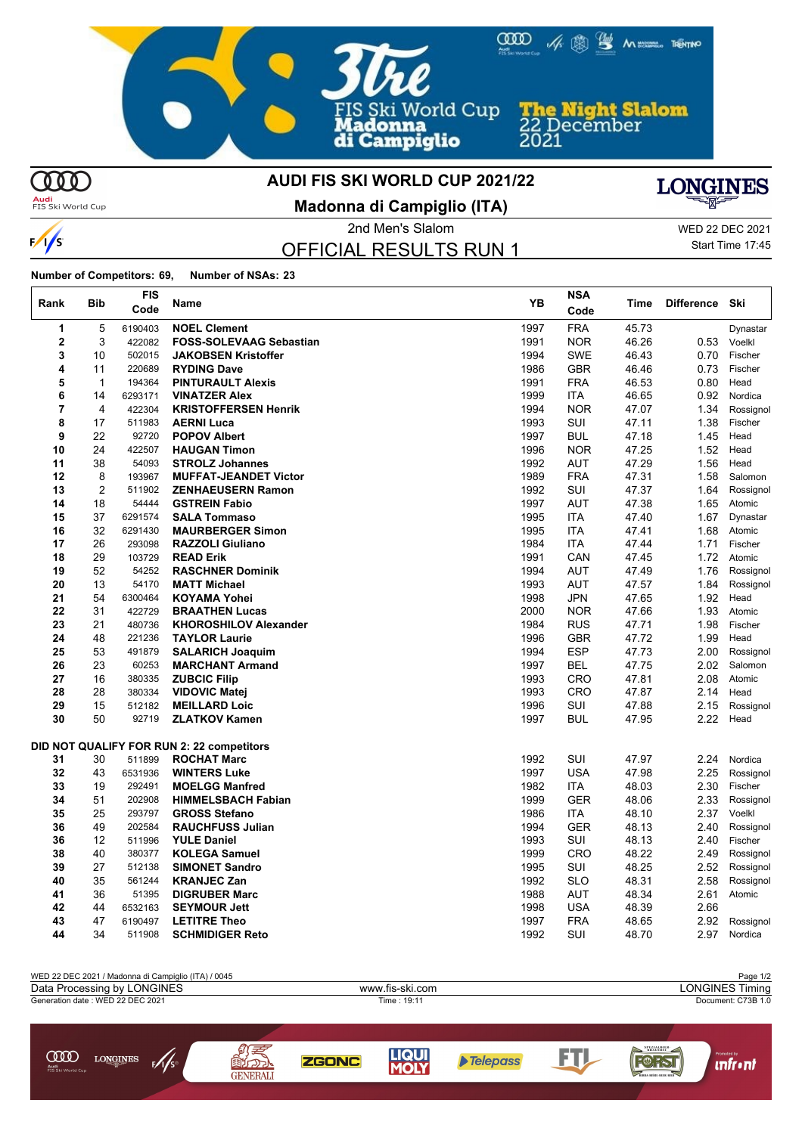

**MD** 

 $\infty$ 

**LONGINES** 

 $\frac{1}{2}$ 

 $\frac{1}{s}$ 

 $\mathbf{r}$ 

### **AUDI FIS SKI WORLD CUP 2021/22**

**Audi**<br>FIS Ski World Cup

**Madonna di Campiglio (ITA)**



OFFICIAL RESULTS RUN 1

2nd Men's Slalom WED 22 DEC 2021 Start Time 17:45

**Number of Competitors: 69, Number of NSAs: 23**

| Rank     | <b>Bib</b>     | FIS<br>Code      | Name                                              | YB           | <b>NSA</b><br>Code       | Time           | <b>Difference</b> | Ski                  |
|----------|----------------|------------------|---------------------------------------------------|--------------|--------------------------|----------------|-------------------|----------------------|
| 1        | 5              | 6190403          | <b>NOEL Clement</b>                               | 1997         | <b>FRA</b>               | 45.73          |                   | Dynastar             |
| 2        | 3              | 422082           | <b>FOSS-SOLEVAAG Sebastian</b>                    | 1991         | <b>NOR</b>               | 46.26          | 0.53              | Voelkl               |
| 3        | 10             | 502015           | <b>JAKOBSEN Kristoffer</b>                        | 1994         | <b>SWE</b>               | 46.43          | 0.70              | Fischer              |
| 4        | 11             | 220689           | <b>RYDING Dave</b>                                | 1986         | <b>GBR</b>               | 46.46          | 0.73              | Fischer              |
| 5        | $\mathbf 1$    | 194364           | <b>PINTURAULT Alexis</b>                          | 1991         | <b>FRA</b>               | 46.53          | 0.80              | Head                 |
| 6        | 14             | 6293171          | <b>VINATZER Alex</b>                              | 1999         | <b>ITA</b>               | 46.65          | 0.92              | Nordica              |
| 7        | 4              | 422304           | <b>KRISTOFFERSEN Henrik</b>                       | 1994         | <b>NOR</b>               | 47.07          | 1.34              | Rossignol            |
| 8        | 17             | 511983           | <b>AERNI Luca</b>                                 | 1993         | SUI                      | 47.11          | 1.38              | Fischer              |
| 9        | 22             | 92720            | <b>POPOV Albert</b>                               | 1997         | <b>BUL</b>               | 47.18          | 1.45              | Head                 |
| 10       | 24             | 422507           | <b>HAUGAN Timon</b>                               | 1996         | <b>NOR</b>               | 47.25          | 1.52              | Head                 |
| 11       | 38             | 54093            | <b>STROLZ Johannes</b>                            | 1992         | AUT                      | 47.29          | 1.56              | Head                 |
| 12       | 8              | 193967           | <b>MUFFAT-JEANDET Victor</b>                      | 1989         | <b>FRA</b>               | 47.31          | 1.58              | Salomon              |
| 13       | $\overline{2}$ | 511902           | <b>ZENHAEUSERN Ramon</b>                          | 1992         | SUI                      | 47.37          | 1.64              | Rossignol            |
| 14       | 18             | 54444            | <b>GSTREIN Fabio</b>                              | 1997         | <b>AUT</b>               | 47.38          | 1.65              | Atomic               |
| 15       | 37             | 6291574          | <b>SALA Tommaso</b>                               | 1995         | <b>ITA</b>               | 47.40          | 1.67              | Dynastar             |
| 16       | 32             | 6291430          | <b>MAURBERGER Simon</b>                           | 1995         | <b>ITA</b>               | 47.41          | 1.68              | Atomic               |
| 17       | 26             | 293098           | <b>RAZZOLI Giuliano</b>                           | 1984         | <b>ITA</b>               | 47.44          | 1.71              | Fischer              |
| 18       | 29             | 103729           | <b>READ Erik</b>                                  | 1991         | CAN                      | 47.45          | 1.72              | Atomic               |
| 19       | 52             | 54252            | <b>RASCHNER Dominik</b>                           | 1994         | <b>AUT</b>               | 47.49          | 1.76              | Rossignol            |
| 20       | 13             | 54170            | <b>MATT Michael</b>                               | 1993         | AUT                      | 47.57          | 1.84              | Rossignol            |
| 21       | 54             | 6300464          | <b>KOYAMA Yohei</b>                               | 1998         | <b>JPN</b>               | 47.65          | 1.92              | Head                 |
| 22       | 31             | 422729           | <b>BRAATHEN Lucas</b>                             | 2000         | <b>NOR</b>               | 47.66          | 1.93              | Atomic               |
| 23<br>24 | 21<br>48       | 480736<br>221236 | <b>KHOROSHILOV Alexander</b>                      | 1984<br>1996 | <b>RUS</b><br><b>GBR</b> | 47.71          | 1.98              | Fischer              |
| 25       | 53             | 491879           | <b>TAYLOR Laurie</b>                              |              | <b>ESP</b>               | 47.72<br>47.73 | 1.99              | Head                 |
| 26       | 23             | 60253            | <b>SALARICH Joaquim</b><br><b>MARCHANT Armand</b> | 1994<br>1997 | <b>BEL</b>               | 47.75          | 2.00<br>2.02      | Rossignol<br>Salomon |
| 27       | 16             | 380335           | <b>ZUBCIC Filip</b>                               | 1993         | <b>CRO</b>               | 47.81          | 2.08              | Atomic               |
| 28       | 28             | 380334           | <b>VIDOVIC Matei</b>                              | 1993         | <b>CRO</b>               | 47.87          | 2.14              | Head                 |
| 29       | 15             | 512182           | <b>MEILLARD Loic</b>                              | 1996         | SUI                      | 47.88          | 2.15              | Rossignol            |
| 30       | 50             | 92719            | <b>ZLATKOV Kamen</b>                              | 1997         | <b>BUL</b>               | 47.95          | 2.22              | Head                 |
|          |                |                  |                                                   |              |                          |                |                   |                      |
|          |                |                  | DID NOT QUALIFY FOR RUN 2: 22 competitors         |              |                          |                |                   |                      |
| 31       | 30             | 511899           | <b>ROCHAT Marc</b>                                | 1992         | SUI                      | 47.97          | 2.24              | Nordica              |
| 32       | 43             | 6531936          | <b>WINTERS Luke</b>                               | 1997         | <b>USA</b>               | 47.98          | 2.25              | Rossignol            |
| 33       | 19             | 292491           | <b>MOELGG Manfred</b>                             | 1982         | <b>ITA</b>               | 48.03          | 2.30              | Fischer              |
| 34       | 51             | 202908           | <b>HIMMELSBACH Fabian</b>                         | 1999         | <b>GER</b>               | 48.06          | 2.33              | Rossignol            |
| 35       | 25             | 293797           | <b>GROSS Stefano</b>                              | 1986         | <b>ITA</b>               | 48.10          | 2.37              | Voelkl               |
| 36       | 49             | 202584           | <b>RAUCHFUSS Julian</b>                           | 1994         | <b>GER</b>               | 48.13          | 2.40              | Rossignol            |
| 36       | 12             | 511996           | <b>YULE Daniel</b>                                | 1993         | SUI                      | 48.13          | 2.40              | Fischer              |
| 38       | 40             | 380377           | <b>KOLEGA Samuel</b>                              | 1999         | <b>CRO</b>               | 48.22          | 2.49              | Rossignol            |
| 39       | 27             | 512138           | <b>SIMONET Sandro</b>                             | 1995         | SUI                      | 48.25          | 2.52              | Rossignol            |
| 40       | 35             | 561244           | <b>KRANJEC Zan</b>                                | 1992         | <b>SLO</b>               | 48.31          | 2.58              | Rossignol            |
| 41       | 36             | 51395            | <b>DIGRUBER Marc</b>                              | 1988         | AUT                      | 48.34          | 2.61              | Atomic               |
| 42       | 44             | 6532163          | <b>SEYMOUR Jett</b>                               | 1998         | <b>USA</b>               | 48.39          | 2.66              |                      |
| 43       | 47             | 6190497          | <b>LETITRE Theo</b>                               | 1997         | <b>FRA</b>               | 48.65          | 2.92              | Rossignol            |
| 44       | 34             | 511908           | <b>SCHMIDIGER Reto</b>                            | 1992         | SUI                      | 48.70          | 2.97              | Nordica              |

| WED 22 DEC 2021 / Madonna di Campiglio (ITA) / 0045 |                 | Page 1/2               |
|-----------------------------------------------------|-----------------|------------------------|
| Data Processing by LONGINES                         | www.fis-ski.com | <b>LONGINES Timing</b> |
| Generation date: WED 22 DEC 2021                    | Time: 19:11     | Document: C73B 1.0     |
|                                                     |                 |                        |
|                                                     |                 |                        |
|                                                     |                 |                        |

**ZGONC** 

ू<br>बारो

**GENERAL** 

**LIQUI**<br>MOLY

Telepass

FTJ.

Forst

*<u>Infront</u>*